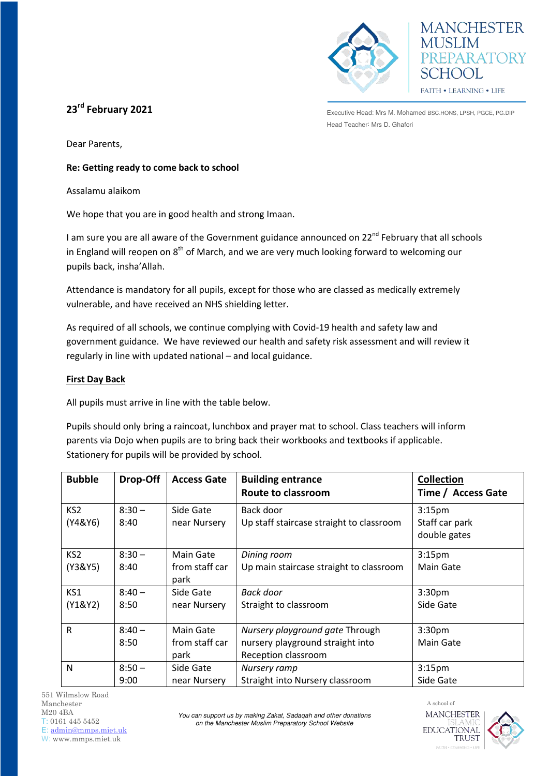



**23rd February 2021** 

Executive Head: Mrs M. Mohamed BSC.HONS, LPSH, PGCE, PG.DIP Head Teacher: Mrs D. Ghafori

Dear Parents,

## **Re: Getting ready to come back to school**

Assalamu alaikom

We hope that you are in good health and strong Imaan.

I am sure you are all aware of the Government guidance announced on 22<sup>nd</sup> February that all schools in England will reopen on  $8<sup>th</sup>$  of March, and we are very much looking forward to welcoming our pupils back, insha'Allah.

Attendance is mandatory for all pupils, except for those who are classed as medically extremely vulnerable, and have received an NHS shielding letter.

As required of all schools, we continue complying with Covid-19 health and safety law and government guidance. We have reviewed our health and safety risk assessment and will review it regularly in line with updated national – and local guidance.

# **First Day Back**

All pupils must arrive in line with the table below.

Pupils should only bring a raincoat, lunchbox and prayer mat to school. Class teachers will inform parents via Dojo when pupils are to bring back their workbooks and textbooks if applicable. Stationery for pupils will be provided by school.

| <b>Bubble</b>              | Drop-Off         | <b>Access Gate</b>                  | <b>Building entrance</b><br>Route to classroom                                             | <b>Collection</b><br>Time / Access Gate              |
|----------------------------|------------------|-------------------------------------|--------------------------------------------------------------------------------------------|------------------------------------------------------|
| KS <sub>2</sub><br>(Y4&Y6) | $8:30 -$<br>8:40 | Side Gate<br>near Nursery           | Back door<br>Up staff staircase straight to classroom                                      | 3:15 <sub>pm</sub><br>Staff car park<br>double gates |
| KS <sub>2</sub><br>(Y3&Y5) | $8:30 -$<br>8:40 | Main Gate<br>from staff car<br>park | Dining room<br>Up main staircase straight to classroom                                     | 3:15 <sub>pm</sub><br>Main Gate                      |
| KS1<br>(Y1&Y2)             | $8:40-$<br>8:50  | Side Gate<br>near Nursery           | <b>Back door</b><br>Straight to classroom                                                  | 3:30 <sub>pm</sub><br>Side Gate                      |
| $\mathsf{R}$               | $8:40 -$<br>8:50 | Main Gate<br>from staff car<br>park | Nursery playground gate Through<br>nursery playground straight into<br>Reception classroom | 3:30 <sub>pm</sub><br>Main Gate                      |
| N                          | $8:50 -$<br>9:00 | Side Gate<br>near Nursery           | Nursery ramp<br>Straight into Nursery classroom                                            | 3:15 <sub>pm</sub><br>Side Gate                      |

551 Wilmslow Road Manchester M20 4BA T: 0161 445 5452 E: [admin@mmps.miet.uk](mailto:admin@mmps.miet.uk) W: www.mmps.miet.uk

*You can support us by making Zakat, Sadaqah and other donations on the Manchester Muslim Preparatory School Website* 



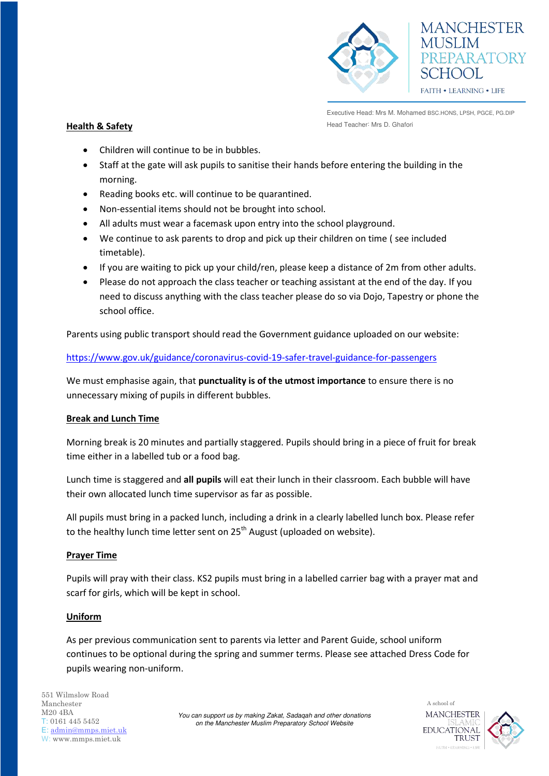



Executive Head: Mrs M. Mohamed BSC.HONS, LPSH, PGCE, PG.DIP **Health & Safety Head Teacher: Mrs D. Ghafori** 

- Children will continue to be in bubbles.
- Staff at the gate will ask pupils to sanitise their hands before entering the building in the morning.
- Reading books etc. will continue to be quarantined.
- Non-essential items should not be brought into school.
- All adults must wear a facemask upon entry into the school playground.
- We continue to ask parents to drop and pick up their children on time ( see included timetable).
- If you are waiting to pick up your child/ren, please keep a distance of 2m from other adults.
- Please do not approach the class teacher or teaching assistant at the end of the day. If you need to discuss anything with the class teacher please do so via Dojo, Tapestry or phone the school office.

Parents using public transport should read the Government guidance uploaded on our website:

<https://www.gov.uk/guidance/coronavirus-covid-19-safer-travel-guidance-for-passengers>

We must emphasise again, that **punctuality is of the utmost importance** to ensure there is no unnecessary mixing of pupils in different bubbles.

# **Break and Lunch Time**

Morning break is 20 minutes and partially staggered. Pupils should bring in a piece of fruit for break time either in a labelled tub or a food bag.

Lunch time is staggered and **all pupils** will eat their lunch in their classroom. Each bubble will have their own allocated lunch time supervisor as far as possible.

All pupils must bring in a packed lunch, including a drink in a clearly labelled lunch box. Please refer to the healthy lunch time letter sent on  $25<sup>th</sup>$  August (uploaded on website).

## **Prayer Time**

Pupils will pray with their class. KS2 pupils must bring in a labelled carrier bag with a prayer mat and scarf for girls, which will be kept in school.

## **Uniform**

As per previous communication sent to parents via letter and Parent Guide, school uniform continues to be optional during the spring and summer terms. Please see attached Dress Code for pupils wearing non-uniform.

*You can support us by making Zakat, Sadaqah and other donations on the Manchester Muslim Preparatory School Website* 



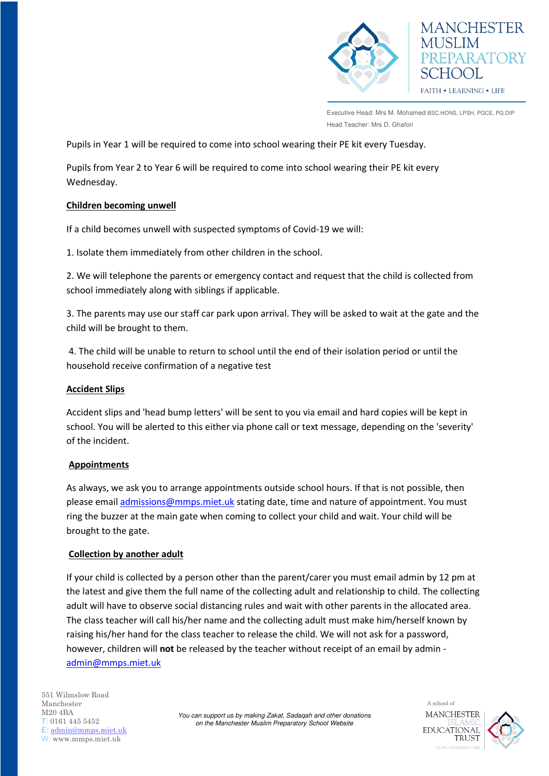

Executive Head: Mrs M. Mohamed BSC.HONS, LPSH, PGCE, PG.DIP Head Teacher: Mrs D. Ghafori

Pupils in Year 1 will be required to come into school wearing their PE kit every Tuesday.

Pupils from Year 2 to Year 6 will be required to come into school wearing their PE kit every Wednesday.

#### **Children becoming unwell**

If a child becomes unwell with suspected symptoms of Covid-19 we will:

1. Isolate them immediately from other children in the school.

2. We will telephone the parents or emergency contact and request that the child is collected from school immediately along with siblings if applicable.

3. The parents may use our staff car park upon arrival. They will be asked to wait at the gate and the child will be brought to them.

 4. The child will be unable to return to school until the end of their isolation period or until the household receive confirmation of a negative test

#### **Accident Slips**

Accident slips and 'head bump letters' will be sent to you via email and hard copies will be kept in school. You will be alerted to this either via phone call or text message, depending on the 'severity' of the incident.

## **Appointments**

As always, we ask you to arrange appointments outside school hours. If that is not possible, then please emai[l admissions@mmps.miet.uk](mailto:admissions@mmps.miet.uk) stating date, time and nature of appointment. You must ring the buzzer at the main gate when coming to collect your child and wait. Your child will be brought to the gate.

## **Collection by another adult**

If your child is collected by a person other than the parent/carer you must email admin by 12 pm at the latest and give them the full name of the collecting adult and relationship to child. The collecting adult will have to observe social distancing rules and wait with other parents in the allocated area. The class teacher will call his/her name and the collecting adult must make him/herself known by raising his/her hand for the class teacher to release the child. We will not ask for a password, however, children will **not** be released by the teacher without receipt of an email by admin [admin@mmps.miet.uk](mailto:admin@mmps.miet.uk) 

*You can support us by making Zakat, Sadaqah and other donations on the Manchester Muslim Preparatory School Website*